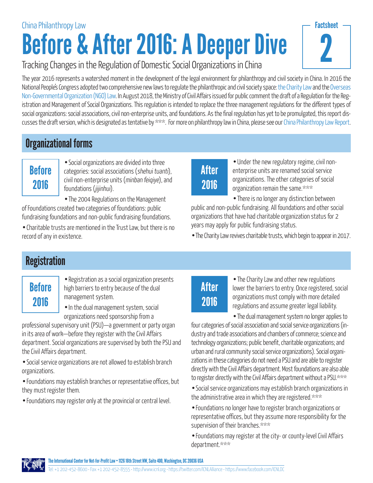# Before & After 2016: A Deeper Dive China Philanthropy Law

|  | Tracking Changes in the Regulation of Domestic Social Organizations in China |
|--|------------------------------------------------------------------------------|

The year 2016 represents a watershed moment in the development of the legal environment for philanthropy and civil society in China. In 2016 the National People's Congress adopted two comprehensive new laws to regulate the philanthropic and civil society space: [the Charity Law](http://www.chinadevelopmentbrief.cn/wp-content/uploads/2016/04/Charity-Law-CDB-Translation.pdf) and the [Overseas](http://www.mps.gov.cn/n2254314/n2254409/n4904353/c5548987/content.html) [Non-Governmental Organization \(NGO\) Law.](http://www.mps.gov.cn/n2254314/n2254409/n4904353/c5548987/content.html) In August 2018, the Ministry of Civil Affairs issued for public comment the draft of a Regulation for the Registration and Management of Social Organizations. This regulation is intended to replace the three management regulations for the different types of social organizations: social associations, civil non-enterprise units, and foundations. As the final regulation has yet to be promulgated, this report dis-cusses the draft version, which is designated as tentative by \*\*\*. For more on philanthropy law in China, please see our [China Philanthropy Law Report.](http://www.icnl.org/research/Philanthropy/China.html)

### Organizational forms

### **Before** 2016

• Social organizations are divided into three categories: social associations (shehui tuanti), civil non-enterprise units (minban feiqiye), and foundations (jijinhui).

• The 2004 Regulations on the Management of Foundations created two categories of foundations: public fundraising foundations and non-public fundraising foundations.

• Charitable trusts are mentioned in the Trust Law, but there is no record of any in existence.

## After 2016

• Under the new regulatory regime, civil nonenterprise units are renamed social service organizations. The other categories of social organization remain the same.\*\*\*

2

**Factsheet** 

• There is no longer any distinction between public and non-public fundraising. All foundations and other social organizations that have had charitable organization status for 2 years may apply for public fundraising status.

• The Charity Law revives charitable trusts, which begin to appear in 2017.

### **Registration**

## **Before** 2016

• Registration as a social organization presents high barriers to entry because of the dual management system.

• In the dual management system, social organizations need sponsorship from a

professional supervisory unit (PSU)—a government or party organ in its area of work—before they register with the Civil Affairs department. Social organizations are supervised by both the PSU and the Civil Affairs department.

• Social service organizations are not allowed to establish branch organizations.

• Foundations may establish branches or representative offices, but they must register them.

• Foundations may register only at the provincial or central level.

## After 2016

• The Charity Law and other new regulations lower the barriers to entry. Once registered, social organizations must comply with more detailed regulations and assume greater legal liability.

• The dual management system no longer applies to four categories of social association and social service organizations (industry and trade associations and chambers of commerce; science and technology organizations; public benefit, charitable organizations; and urban and rural community social service organizations). Social organizations in these categories do not need a PSU and are able to register directly with the Civil Affairs department. Most foundations are also able to register directly with the Civil Affairs department without a PSU.\*\*\*

- Social service organizations may establish branch organizations in the administrative area in which they are registered.\*\*\*
- Foundations no longer have to register branch organizations or representative offices, but they assume more responsibility for the supervision of their branches.\*\*\*
- Foundations may register at the city- or county-level Civil Affairs department.\*\*\*